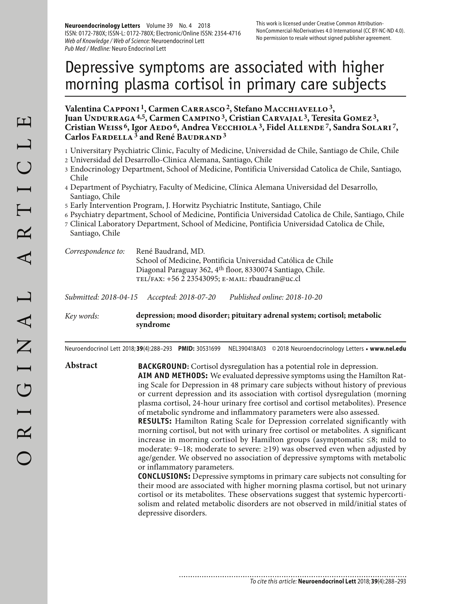**Neuroendocrinology Letters** Volume 39 No. 4 2018 ISSN: 0172-780X; ISSN-L: 0172-780X; Electronic/Online ISSN: 2354-4716 Web of Knowledge / Web of Science: Neuroendocrinol Lett Pub Med / Medline: Neuro Endocrinol Lett

# Depressive symptoms are associated with higher morning plasma cortisol in primary care subjects

Valentina CAPPONI<sup>1</sup>, Carmen CARRASCO<sup>2</sup>, Stefano MACCHIAVELLO<sup>3</sup>, Juan UNDURRAGA <sup>4,5</sup>, Carmen CAMPINO<sup>3</sup>, Cristian CARVAJAL<sup>3</sup>, Teresita GOMEZ<sup>3</sup>, Cristian WEISS<sup>6</sup>, Igor AEDO<sup>6</sup>, Andrea VECCHIOLA<sup>3</sup>, Fidel ALLENDE<sup>7</sup>, Sandra SOLARI<sup>7</sup>, **Carlos Fardella 3 and René Baudrand 3**

- 1 Universitary Psychiatric Clinic, Faculty of Medicine, Universidad de Chile, Santiago de Chile, Chile
- 2 Universidad del Desarrollo-Clinica Alemana, Santiago, Chile
- 3 Endocrinology Department, School of Medicine, Pontificia Universidad Catolica de Chile, Santiago, Chile
- 4 Department of Psychiatry, Faculty of Medicine, Clínica Alemana Universidad del Desarrollo, Santiago, Chile
- 5 Early Intervention Program, J. Horwitz Psychiatric Institute, Santiago, Chile
- 6 Psychiatry department, School of Medicine, Pontificia Universidad Catolica de Chile, Santiago, Chile
- 7 Clinical Laboratory Department, School of Medicine, Pontificia Universidad Catolica de Chile, Santiago, Chile

| Correspondence to: | René Baudrand, MD.                                           |
|--------------------|--------------------------------------------------------------|
|                    | School of Medicine, Pontificia Universidad Católica de Chile |
|                    | Diagonal Paraguay 362, 4th floor, 8330074 Santiago, Chile.   |
|                    | TEL/FAX: $+56223543095$ ; E-MAIL: rbaudran@uc.cl             |
|                    |                                                              |

*Submitted: 2018-04-15 Accepted: 2018-07-20 Published online: 2018-10-20*

*Key words:* **depression; mood disorder; pituitary adrenal system; cortisol; metabolic syndrome**

Neuroendocrinol Lett 2018; **39**(4):288–293 **PMID:** 30531699 NEL390418A03 © 2018 Neuroendocrinology Letters • **www.nel.edu**

**Abstract BACKGROUND:** Cortisol dysregulation has a potential role in depression.

**AIM AND METHODS:** We evaluated depressive symptoms using the Hamilton Rating Scale for Depression in 48 primary care subjects without history of previous or current depression and its association with cortisol dysregulation (morning plasma cortisol, 24-hour urinary free cortisol and cortisol metabolites). Presence of metabolic syndrome and inflammatory parameters were also assessed.

**RESULTS:** Hamilton Rating Scale for Depression correlated significantly with morning cortisol, but not with urinary free cortisol or metabolites. A significant increase in morning cortisol by Hamilton groups (asymptomatic ≤8; mild to moderate: 9–18; moderate to severe:  $\geq$ 19) was observed even when adjusted by age/gender. We observed no association of depressive symptoms with metabolic or inflammatory parameters.

**CONCLUSIONS:** Depressive symptoms in primary care subjects not consulting for their mood are associated with higher morning plasma cortisol, but not urinary cortisol or its metabolites. These observations suggest that systemic hypercortisolism and related metabolic disorders are not observed in mild/initial states of depressive disorders.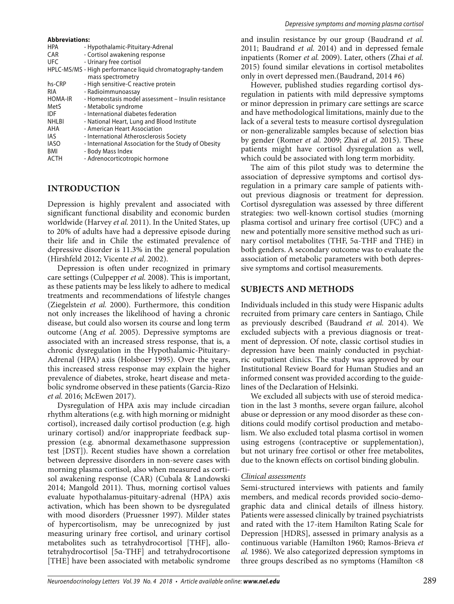#### **Abbreviations:**

| - Hypothalamic-Pituitary-Adrenal                           |
|------------------------------------------------------------|
| - Cortisol awakening response                              |
| - Urinary free cortisol                                    |
| HPLC-MS/MS - High performance liquid chromatography-tandem |
| mass spectrometry                                          |
| - High sensitive-C reactive protein                        |
| - Radioimmunoassay                                         |
| - Homeostasis model assessment - Insulin resistance        |
| - Metabolic syndrome                                       |
| - International diabetes federation                        |
| - National Heart, Lung and Blood Institute                 |
| - American Heart Association                               |
| - International Atherosclerosis Society                    |
| - International Association for the Study of Obesity       |
| - Body Mass Index                                          |
|                                                            |

#### ACTH - Adrenocorticotropic hormone

## **INTRODUCTION**

Depression is highly prevalent and associated with significant functional disability and economic burden worldwide (Harvey *et al.* 2011). In the United States, up to 20% of adults have had a depressive episode during their life and in Chile the estimated prevalence of depressive disorder is 11.3% in the general population (Hirshfeld 2012; Vicente *et al.* 2002).

Depression is often under recognized in primary care settings (Culpepper *et al.* 2008). This is important, as these patients may be less likely to adhere to medical treatments and recommendations of lifestyle changes (Ziegelstein *et al.* 2000). Furthermore, this condition not only increases the likelihood of having a chronic disease, but could also worsen its course and long term outcome (Ang *et al.* 2005). Depressive symptoms are associated with an increased stress response, that is, a chronic dysregulation in the Hypothalamic-Pituitary-Adrenal (HPA) axis (Holsboer 1995). Over the years, this increased stress response may explain the higher prevalence of diabetes, stroke, heart disease and metabolic syndrome observed in these patients (Garcia-Rizo *et al.* 2016; McEwen 2017).

Dysregulation of HPA axis may include circadian rhythm alterations (e.g. with high morning or midnight cortisol), increased daily cortisol production (e.g. high urinary cortisol) and/or inappropriate feedback suppression (e.g. abnormal dexamethasone suppression test [DST]). Recent studies have shown a correlation between depressive disorders in non-severe cases with morning plasma cortisol, also when measured as cortisol awakening response (CAR) (Cubala & Landowski 2014; Mangold 2011). Thus, morning cortisol values evaluate hypothalamus-pituitary-adrenal (HPA) axis activation, which has been shown to be dysregulated with mood disorders (Pruessner 1997). Milder states of hypercortisolism, may be unrecognized by just measuring urinary free cortisol, and urinary cortisol metabolites such as tetrahydrocortisol [THF], allotetrahydrocortisol [5α-THF] and tetrahydrocortisone [THE] have been associated with metabolic syndrome

and insulin resistance by our group (Baudrand *et al.*  2011; Baudrand *et al.* 2014) and in depressed female inpatients (Romer *et al.* 2009). Later, others (Zhai *et al.*  2015) found similar elevations in cortisol metabolites only in overt depressed men.(Baudrand, 2014 #6)

However, published studies regarding cortisol dysregulation in patients with mild depressive symptoms or minor depression in primary care settings are scarce and have methodological limitations, mainly due to the lack of a several tests to measure cortisol dysregulation or non-generalizable samples because of selection bias by gender (Romer *et al.* 2009; Zhai *et al.* 2015). These patients might have cortisol dysregulation as well, which could be associated with long term morbidity.

The aim of this pilot study was to determine the association of depressive symptoms and cortisol dysregulation in a primary care sample of patients without previous diagnosis or treatment for depression. Cortisol dysregulation was assessed by three different strategies: two well-known cortisol studies (morning plasma cortisol and urinary free cortisol (UFC) and a new and potentially more sensitive method such as urinary cortisol metabolites (THF, 5α-THF and THE) in both genders. A secondary outcome was to evaluate the association of metabolic parameters with both depressive symptoms and cortisol measurements.

## **SUBJECTS AND METHODS**

Individuals included in this study were Hispanic adults recruited from primary care centers in Santiago, Chile as previously described (Baudrand *et al.* 2014). We excluded subjects with a previous diagnosis or treatment of depression. Of note, classic cortisol studies in depression have been mainly conducted in psychiatric outpatient clinics. The study was approved by our Institutional Review Board for Human Studies and an informed consent was provided according to the guidelines of the Declaration of Helsinki.

We excluded all subjects with use of steroid medication in the last 3 months, severe organ failure, alcohol abuse or depression or any mood disorder as these conditions could modify cortisol production and metabolism. We also excluded total plasma cortisol in women using estrogens (contraceptive or supplementation), but not urinary free cortisol or other free metabolites, due to the known effects on cortisol binding globulin.

### *Clinical assessments*

Semi-structured interviews with patients and family members, and medical records provided socio-demographic data and clinical details of illness history. Patients were assessed clinically by trained psychiatrists and rated with the 17-item Hamilton Rating Scale for Depression [HDRS], assessed in primary analysis as a continuous variable (Hamilton 1960; Ramos-Brieva *et al.* 1986). We also categorized depression symptoms in three groups described as no symptoms (Hamilton <8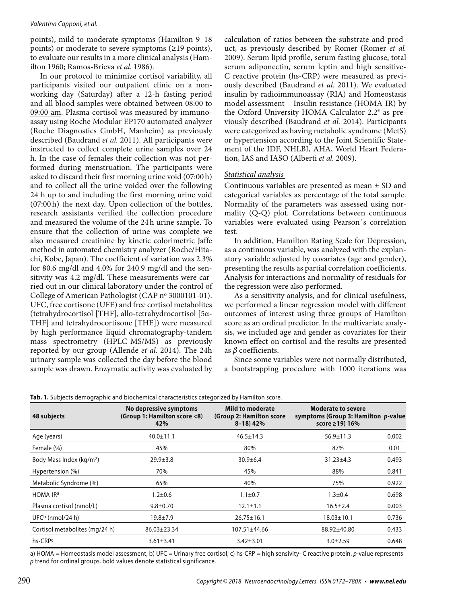#### Valentina Capponi, et al.

points), mild to moderate symptoms (Hamilton 9–18 points) or moderate to severe symptoms (≥19 points), to evaluate our results in a more clinical analysis (Hamilton 1960; Ramos-Brieva *et al.* 1986).

In our protocol to minimize cortisol variability, all participants visited our outpatient clinic on a nonworking day (Saturday) after a 12-h fasting period and all blood samples were obtained between 08:00 to 09:00 am. Plasma cortisol was measured by immunoassay using Roche Modular EP170 automated analyzer (Roche Diagnostics GmbH, Manheim) as previously described (Baudrand *et al.* 2011). All participants were instructed to collect complete urine samples over 24 h. In the case of females their collection was not performed during menstruation. The participants were asked to discard their first morning urine void (07:00 h) and to collect all the urine voided over the following 24 h up to and including the first morning urine void (07:00 h) the next day. Upon collection of the bottles, research assistants verified the collection procedure and measured the volume of the 24 h urine sample. To ensure that the collection of urine was complete we also measured creatinine by kinetic colorimetric Jaffe method in automated chemistry analyzer (Roche/Hitachi, Kobe, Japan). The coefficient of variation was 2.3% for 80.6 mg/dl and 4.0% for 240.9 mg/dl and the sensitivity was 4.2 mg/dl. These measurements were carried out in our clinical laboratory under the control of College of American Pathologist (CAP nº 3000101-01). UFC, free cortisone (UFE) and free cortisol metabolites (tetrahydrocortisol [THF], allo-tetrahydrocortisol [5α-THF] and tetrahydrocortisone [THE]) were measured by high performance liquid chromatography-tandem mass spectrometry (HPLC-MS/MS) as previously reported by our group (Allende *et al.* 2014). The 24h urinary sample was collected the day before the blood sample was drawn. Enzymatic activity was evaluated by calculation of ratios between the substrate and product, as previously described by Romer (Romer *et al.*  2009). Serum lipid profile, serum fasting glucose, total serum adiponectin, serum leptin and high sensitive-C reactive protein (hs-CRP) were measured as previously described (Baudrand *et al.* 2011). We evaluated insulin by radioimmunoassay (RIA) and Homeostasis model assessment – Insulin resistance (HOMA-IR) by the Oxford University HOMA Calculator 2.2® as previously described (Baudrand *et al.* 2014). Participants were categorized as having metabolic syndrome (MetS) or hypertension according to the Joint Scientific Statement of the IDF, NHLBI, AHA, World Heart Federation, IAS and IASO (Alberti *et al.* 2009).

## *Statistical analysis*

Continuous variables are presented as mean ± SD and categorical variables as percentage of the total sample. Normality of the parameters was assessed using normality (Q-Q) plot. Correlations between continuous variables were evaluated using Pearson´s correlation test.

In addition, Hamilton Rating Scale for Depression, as a continuous variable, was analyzed with the explanatory variable adjusted by covariates (age and gender), presenting the results as partial correlation coefficients. Analysis for interactions and normality of residuals for the regression were also performed.

As a sensitivity analysis, and for clinical usefulness, we performed a linear regression model with different outcomes of interest using three groups of Hamilton score as an ordinal predictor. In the multivariate analysis, we included age and gender as covariates for their known effect on cortisol and the results are presented as *β* coefficients.

Since some variables were not normally distributed, a bootstrapping procedure with 1000 iterations was

| 48 subjects                          | No depressive symptoms<br>(Group 1: Hamilton score <8)<br>42% | <b>Mild to moderate</b><br>(Group 2: Hamilton score<br>$8-18$ ) 42% | <b>Moderate to severe</b><br>symptoms (Group 3: Hamilton p-value<br>score $\geq$ 19) 16% |       |
|--------------------------------------|---------------------------------------------------------------|---------------------------------------------------------------------|------------------------------------------------------------------------------------------|-------|
| Age (years)                          | $40.0 \pm 11.1$                                               | $46.5 \pm 14.3$                                                     | $56.9 \pm 11.3$                                                                          | 0.002 |
| Female (%)                           | 45%                                                           | 80%                                                                 | 87%                                                                                      | 0.01  |
| Body Mass Index (kg/m <sup>2</sup> ) | $29.9 + 3.8$                                                  | $30.9 + 6.4$                                                        | $31.23 \pm 4.3$                                                                          | 0.493 |
| Hypertension (%)                     | 70%                                                           | 45%                                                                 | 88%                                                                                      | 0.841 |
| Metabolic Syndrome (%)               | 65%                                                           | 40%                                                                 | 75%                                                                                      | 0.922 |
| HOMA-IR <sup>a</sup>                 | $1.2 \pm 0.6$                                                 | $1.1 \pm 0.7$                                                       | $1.3 \pm 0.4$                                                                            | 0.698 |
| Plasma cortisol (nmol/L)             | $9.8 \pm 0.70$                                                | $12.1 \pm 1.1$                                                      | $16.5 \pm 2.4$                                                                           | 0.003 |
| UFC $b$ (nmol/24 h)                  | $19.8 \pm 7.9$                                                | $26.75 \pm 16.1$                                                    | $18.03 \pm 10.1$                                                                         | 0.736 |
| Cortisol metabolites (mg/24 h)       | $86.03 \pm 23.34$                                             | 107.51±44.66                                                        | 88.92±40.80                                                                              | 0.433 |
| hs-CRPc                              | $3.61 \pm 3.41$                                               | $3.42 + 3.01$                                                       | $3.0 \pm 2.59$                                                                           | 0.648 |

**Tab. 1.** Subjects demographic and biochemical characteristics categorized by Hamilton score.

a) HOMA = Homeostasis model assessment; b) UFC = Urinary free cortisol; c) hs-CRP = high sensivity- C reactive protein. p-value represents p trend for ordinal groups, bold values denote statistical significance.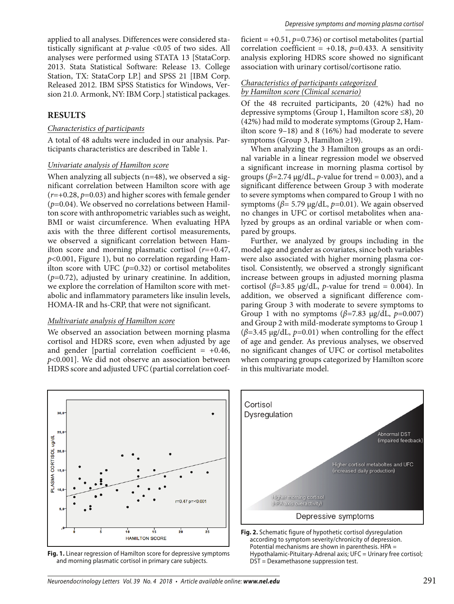applied to all analyses. Differences were considered statistically significant at *p-*value <0.05 of two sides. All analyses were performed using STATA 13 [StataCorp. 2013. Stata Statistical Software: Release 13. College Station, TX: StataCorp LP.] and SPSS 21 [IBM Corp. Released 2012. IBM SPSS Statistics for Windows, Version 21.0. Armonk, NY: IBM Corp.] statistical packages.

## **RESULTS**

#### *Characteristics of participants*

A total of 48 adults were included in our analysis. Participants characteristics are described in Table 1.

#### *Univariate analysis of Hamilton score*

When analyzing all subjects  $(n=48)$ , we observed a significant correlation between Hamilton score with age (*r*=+0.28, *p*=0.03) and higher scores with female gender (*p*=0.04). We observed no correlations between Hamilton score with anthropometric variables such as weight, BMI or waist circumference. When evaluating HPA axis with the three different cortisol measurements, we observed a significant correlation between Hamilton score and morning plasmatic cortisol (*r*=+0.47, *p*<0.001, Figure 1), but no correlation regarding Hamilton score with UFC  $(p=0.32)$  or cortisol metabolites (*p*=0.72), adjusted by urinary creatinine. In addition, we explore the correlation of Hamilton score with metabolic and inflammatory parameters like insulin levels, HOMA-IR and hs-CRP, that were not significant.

#### *Multivariate analysis of Hamilton score*

We observed an association between morning plasma cortisol and HDRS score, even when adjusted by age and gender [partial correlation coefficient =  $+0.46$ , *p*<0.001]. We did not observe an association between HDRS score and adjusted UFC (partial correlation coefficient =  $+0.51$ ,  $p=0.736$ ) or cortisol metabolites (partial correlation coefficient =  $+0.18$ ,  $p=0.433$ . A sensitivity analysis exploring HDRS score showed no significant association with urinary cortisol/cortisone ratio.

## *Characteristics of participants categorized by Hamilton score (Clinical scenario)*

Of the 48 recruited participants, 20 (42%) had no depressive symptoms (Group 1, Hamilton score ≤8), 20 (42%) had mild to moderate symptoms (Group 2, Hamilton score 9–18) and 8 (16%) had moderate to severe symptoms (Group 3, Hamilton ≥19).

When analyzing the 3 Hamilton groups as an ordinal variable in a linear regression model we observed a significant increase in morning plasma cortisol by groups ( $\beta$ =2.74  $\mu$ g/dL, *p*-value for trend = 0.003), and a significant difference between Group 3 with moderate to severe symptoms when compared to Group 1 with no symptoms ( $β = 5.79 \mu g/dL$ ,  $p=0.01$ ). We again observed no changes in UFC or cortisol metabolites when analyzed by groups as an ordinal variable or when compared by groups.

Further, we analyzed by groups including in the model age and gender as covariates, since both variables were also associated with higher morning plasma cortisol. Consistently, we observed a strongly significant increase between groups in adjusted morning plasma cortisol ( $\beta$ =3.85 µg/dL, *p*-value for trend = 0.004). In addition, we observed a significant difference comparing Group 3 with moderate to severe symptoms to Group 1 with no symptoms  $(\beta=7.83 \text{ µg}/dL, p=0.007)$ and Group 2 with mild-moderate symptoms to Group 1 (*β*=3.45 μg/dL, *p=*0.01) when controlling for the effect of age and gender. As previous analyses, we observed no significant changes of UFC or cortisol metabolites when comparing groups categorized by Hamilton score in this multivariate model.



**Fig. 1.** Linear regression of Hamilton score for depressive symptoms and morning plasmatic cortisol in primary care subjects.



**Fig. 2.** Schematic figure of hypothetic cortisol dysregulation according to symptom severity/chronicity of depression. Potential mechanisms are shown in parenthesis. HPA = Hypothalamic-Pituitary-Adrenal axis; UFC = Urinary free cortisol; DST = Dexamethasone suppression test.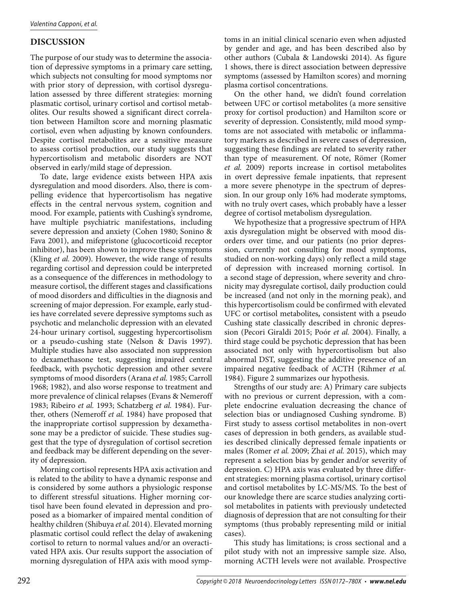## **DISCUSSION**

The purpose of our study was to determine the association of depressive symptoms in a primary care setting, which subjects not consulting for mood symptoms nor with prior story of depression, with cortisol dysregulation assessed by three different strategies: morning plasmatic cortisol, urinary cortisol and cortisol metabolites. Our results showed a significant direct correlation between Hamilton score and morning plasmatic cortisol, even when adjusting by known confounders. Despite cortisol metabolites are a sensitive measure to assess cortisol production, our study suggests that hypercortisolism and metabolic disorders are NOT observed in early/mild stage of depression.

To date, large evidence exists between HPA axis dysregulation and mood disorders. Also, there is compelling evidence that hypercortisolism has negative effects in the central nervous system, cognition and mood. For example, patients with Cushing's syndrome, have multiple psychiatric manifestations, including severe depression and anxiety (Cohen 1980; Sonino & Fava 2001), and mifepristone (glucocorticoid receptor inhibitor), has been shown to improve these symptoms (Kling *et al.* 2009). However, the wide range of results regarding cortisol and depression could be interpreted as a consequence of the differences in methodology to measure cortisol, the different stages and classifications of mood disorders and difficulties in the diagnosis and screening of major depression. For example, early studies have correlated severe depressive symptoms such as psychotic and melancholic depression with an elevated 24-hour urinary cortisol, suggesting hypercortisolism or a pseudo-cushing state (Nelson & Davis 1997). Multiple studies have also associated non suppression to dexamethasone test, suggesting impaired central feedback, with psychotic depression and other severe symptoms of mood disorders (Arana *et al.* 1985; Carroll 1968; 1982), and also worse response to treatment and more prevalence of clinical relapses (Evans & Nemeroff 1983; Ribeiro *et al.* 1993; Schatzberg *et al.* 1984). Further, others (Nemeroff *et al.* 1984) have proposed that the inappropriate cortisol suppression by dexamethasone may be a predictor of suicide. These studies suggest that the type of dysregulation of cortisol secretion and feedback may be different depending on the severity of depression.

Morning cortisol represents HPA axis activation and is related to the ability to have a dynamic response and is considered by some authors a physiologic response to different stressful situations. Higher morning cortisol have been found elevated in depression and proposed as a biomarker of impaired mental condition of healthy children (Shibuya *et al.* 2014). Elevated morning plasmatic cortisol could reflect the delay of awakening cortisol to return to normal values and/or an overactivated HPA axis. Our results support the association of morning dysregulation of HPA axis with mood symptoms in an initial clinical scenario even when adjusted by gender and age, and has been described also by other authors (Cubala & Landowski 2014). As figure 1 shows, there is direct association between depressive symptoms (assessed by Hamilton scores) and morning plasma cortisol concentrations.

On the other hand, we didn't found correlation between UFC or cortisol metabolites (a more sensitive proxy for cortisol production) and Hamilton score or severity of depression. Consistently, mild mood symptoms are not associated with metabolic or inflammatory markers as described in severe cases of depression, suggesting these findings are related to severity rather than type of measurement. Of note, Römer (Romer *et al.* 2009) reports increase in cortisol metabolites in overt depressive female inpatients, that represent a more severe phenotype in the spectrum of depression. In our group only 16% had moderate symptoms, with no truly overt cases, which probably have a lesser degree of cortisol metabolism dysregulation.

We hypothesize that a progressive spectrum of HPA axis dysregulation might be observed with mood disorders over time, and our patients (no prior depression, currently not consulting for mood symptoms, studied on non-working days) only reflect a mild stage of depression with increased morning cortisol. In a second stage of depression, where severity and chronicity may dysregulate cortisol, daily production could be increased (and not only in the morning peak), and this hypercortisolism could be confirmed with elevated UFC or cortisol metabolites*,* consistent with a pseudo Cushing state classically described in chronic depression (Pecori Giraldi 2015; Poór *et al.* 2004). Finally, a third stage could be psychotic depression that has been associated not only with hypercortisolism but also abnormal DST, suggesting the additive presence of an impaired negative feedback of ACTH (Rihmer *et al.*  1984). Figure 2 summarizes our hypothesis.

Strengths of our study are: A) Primary care subjects with no previous or current depression, with a complete endocrine evaluation decreasing the chance of selection bias or undiagnosed Cushing syndrome. B) First study to assess cortisol metabolites in non-overt cases of depression in both genders, as available studies described clinically depressed female inpatients or males (Romer *et al.* 2009; Zhai *et al.* 2015), which may represent a selection bias by gender and/or severity of depression. C) HPA axis was evaluated by three different strategies: morning plasma cortisol, urinary cortisol and cortisol metabolites by LC-MS/MS. To the best of our knowledge there are scarce studies analyzing cortisol metabolites in patients with previously undetected diagnosis of depression that are not consulting for their symptoms (thus probably representing mild or initial cases).

This study has limitations; is cross sectional and a pilot study with not an impressive sample size. Also, morning ACTH levels were not available. Prospective